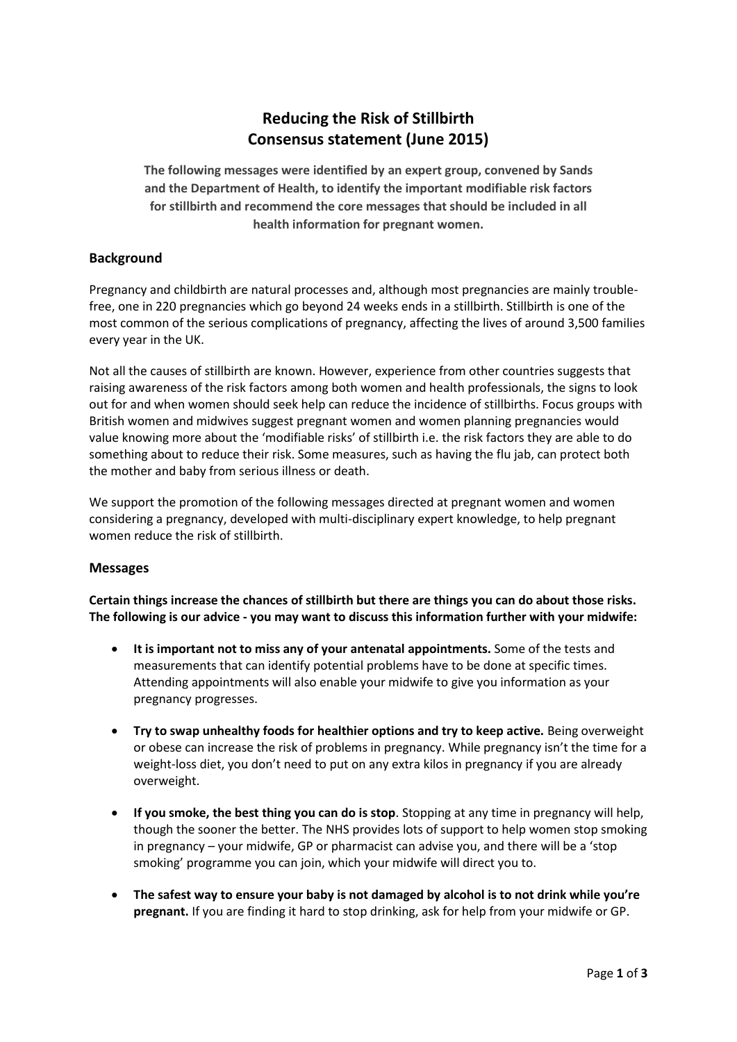# **Reducing the Risk of Stillbirth Consensus statement (June 2015)**

**The following messages were identified by an expert group, convened by Sands and the Department of Health, to identify the important modifiable risk factors for stillbirth and recommend the core messages that should be included in all health information for pregnant women.**

## **Background**

Pregnancy and childbirth are natural processes and, although most pregnancies are mainly troublefree, one in 220 pregnancies which go beyond 24 weeks ends in a stillbirth. Stillbirth is one of the most common of the serious complications of pregnancy, affecting the lives of around 3,500 families every year in the UK.

Not all the causes of stillbirth are known. However, experience from other countries suggests that raising awareness of the risk factors among both women and health professionals, the signs to look out for and when women should seek help can reduce the incidence of stillbirths. Focus groups with British women and midwives suggest pregnant women and women planning pregnancies would value knowing more about the 'modifiable risks' of stillbirth i.e. the risk factors they are able to do something about to reduce their risk. Some measures, such as having the flu jab, can protect both the mother and baby from serious illness or death.

We support the promotion of the following messages directed at pregnant women and women considering a pregnancy, developed with multi-disciplinary expert knowledge, to help pregnant women reduce the risk of stillbirth.

### **Messages**

**Certain things increase the chances of stillbirth but there are things you can do about those risks. The following is our advice - you may want to discuss this information further with your midwife:** 

- **It is important not to miss any of your antenatal appointments.** Some of the tests and measurements that can identify potential problems have to be done at specific times. Attending appointments will also enable your midwife to give you information as your pregnancy progresses.
- **•** Try to swap unhealthy foods for healthier options and try to keep active. Being overweight or obese can increase the risk of problems in pregnancy. While pregnancy isn't the time for a weight-loss diet, you don't need to put on any extra kilos in pregnancy if you are already overweight.
- **If you smoke, the best thing you can do is stop**. Stopping at any time in pregnancy will help, though the sooner the better. The NHS provides lots of support to help women stop smoking in pregnancy – your midwife, GP or pharmacist can advise you, and there will be a 'stop smoking' programme you can join, which your midwife will direct you to.
- **The safest way to ensure your baby is not damaged by alcohol is to not drink while you're pregnant.** If you are finding it hard to stop drinking, ask for help from your midwife or GP.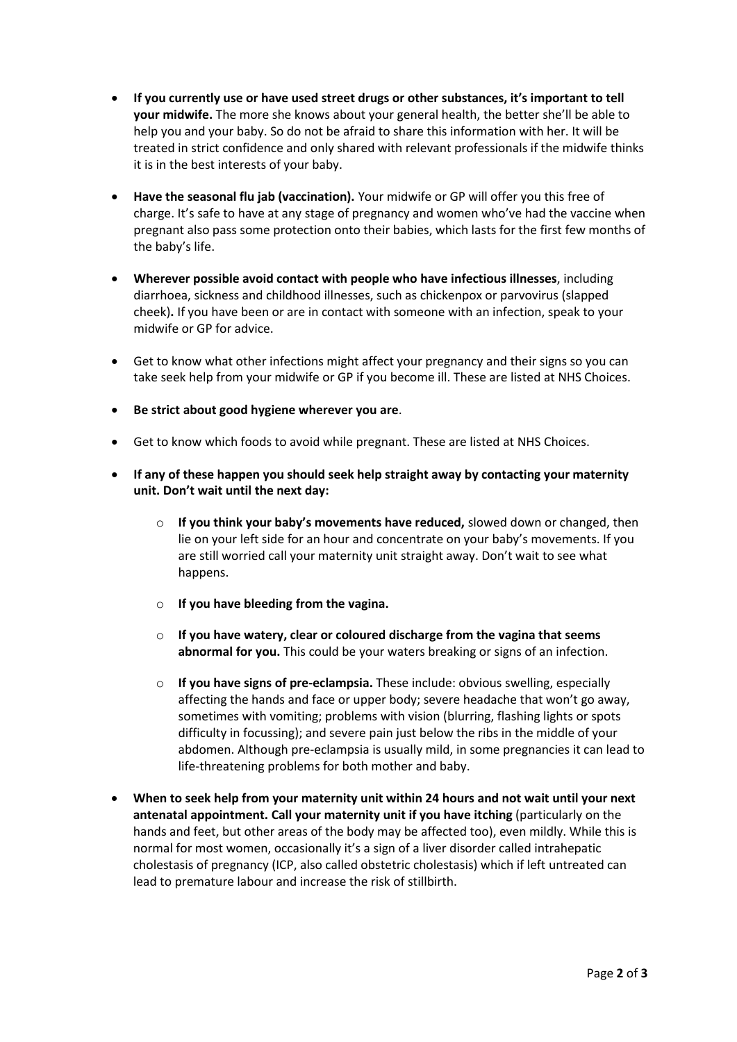- **If you currently use or have used street drugs or other substances, it's important to tell your midwife.** The more she knows about your general health, the better she'll be able to help you and your baby. So do not be afraid to share this information with her. It will be treated in strict confidence and only shared with relevant professionals if the midwife thinks it is in the best interests of your baby.
- **Have the seasonal flu jab (vaccination).** Your midwife or GP will offer you this free of charge. It's safe to have at any stage of pregnancy and women who've had the vaccine when pregnant also pass some protection onto their babies, which lasts for the first few months of the baby's life.
- **Wherever possible avoid contact with people who have infectious illnesses**, including diarrhoea, sickness and childhood illnesses, such as chickenpox or parvovirus (slapped cheek)**.** If you have been or are in contact with someone with an infection, speak to your midwife or GP for advice.
- Get to know what other infections might affect your pregnancy and their signs so you can take seek help from your midwife or GP if you become ill. These are listed at NHS Choices.
- **Be strict about good hygiene wherever you are**.
- Get to know which foods to avoid while pregnant. These are listed at NHS Choices.
- **If any of these happen you should seek help straight away by contacting your maternity unit. Don't wait until the next day:** 
	- o **If you think your baby's movements have reduced,** slowed down or changed, then lie on your left side for an hour and concentrate on your baby's movements. If you are still worried call your maternity unit straight away. Don't wait to see what happens.
	- o **If you have bleeding from the vagina.**
	- o **If you have watery, clear or coloured discharge from the vagina that seems abnormal for you.** This could be your waters breaking or signs of an infection.
	- o **If you have signs of pre-eclampsia.** These include: obvious swelling, especially affecting the hands and face or upper body; severe headache that won't go away, sometimes with vomiting; problems with vision (blurring, flashing lights or spots difficulty in focussing); and severe pain just below the ribs in the middle of your abdomen. Although pre-eclampsia is usually mild, in some pregnancies it can lead to life-threatening problems for both mother and baby.
- **When to seek help from your maternity unit within 24 hours and not wait until your next antenatal appointment. Call your maternity unit if you have itching** (particularly on the hands and feet, but other areas of the body may be affected too), even mildly. While this is normal for most women, occasionally it's a sign of a liver disorder called intrahepatic cholestasis of pregnancy (ICP, also called obstetric cholestasis) which if left untreated can lead to premature labour and increase the risk of stillbirth.